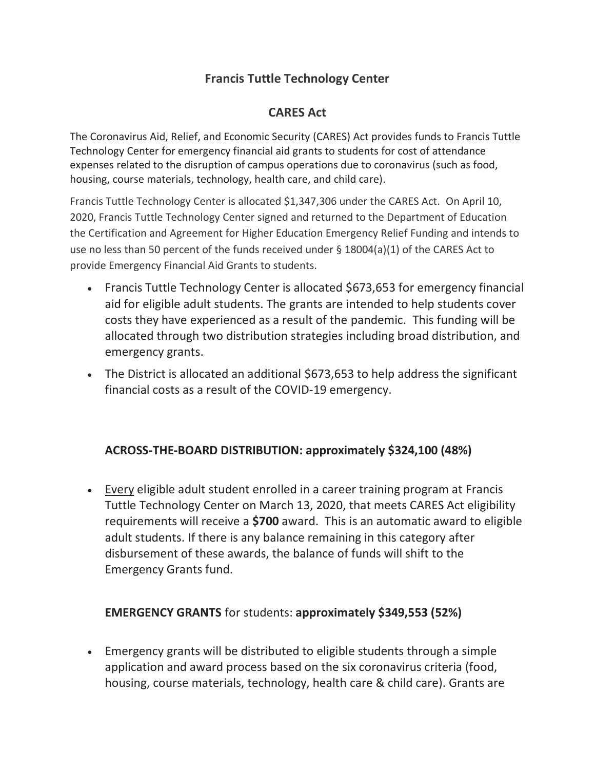# **Francis Tuttle Technology Center**

## **CARES Act**

The Coronavirus Aid, Relief, and Economic Security (CARES) Act provides funds to Francis Tuttle Technology Center for emergency financial aid grants to students for cost of attendance expenses related to the disruption of campus operations due to coronavirus (such as food, housing, course materials, technology, health care, and child care).

Francis Tuttle Technology Center is allocated \$1,347,306 under the CARES Act. On April 10, 2020, Francis Tuttle Technology Center signed and returned to the Department of Education the Certification and Agreement for Higher Education Emergency Relief Funding and intends to use no less than 50 percent of the funds received under § 18004(a)(1) of the CARES Act to provide Emergency Financial Aid Grants to students.

- Francis Tuttle Technology Center is allocated \$673,653 for emergency financial aid for eligible adult students. The grants are intended to help students cover costs they have experienced as a result of the pandemic. This funding will be allocated through two distribution strategies including broad distribution, and emergency grants.
- The District is allocated an additional \$673,653 to help address the significant financial costs as a result of the COVID-19 emergency.

## **ACROSS-THE-BOARD DISTRIBUTION: approximately \$324,100 (48%)**

• Every eligible adult student enrolled in a career training program at Francis Tuttle Technology Center on March 13, 2020, that meets CARES Act eligibility requirements will receive a **\$700** award. This is an automatic award to eligible adult students. If there is any balance remaining in this category after disbursement of these awards, the balance of funds will shift to the Emergency Grants fund.

### **EMERGENCY GRANTS** for students: **approximately \$349,553 (52%)**

• Emergency grants will be distributed to eligible students through a simple application and award process based on the six coronavirus criteria (food, housing, course materials, technology, health care & child care). Grants are